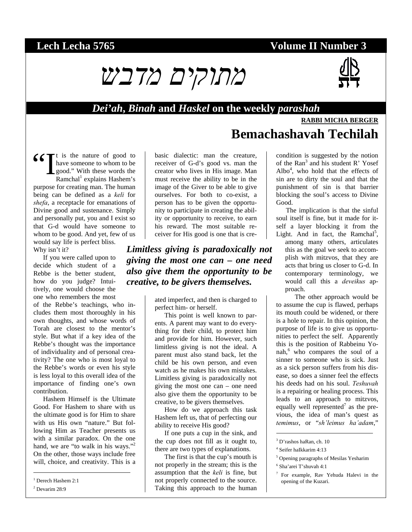# **Lech Lecha 5765 Volume II Number 3**





#### *Dei'ah***,** *Binah* **and** *Haskel* **on the weekly** *parashah*

### **RABBI MICHA BERGER**

**Bemachashavah Techilah**

#### $\bigcup_{k=1}^{\infty} \mathcal{L}^{k}$  is the nature of good to have someone to whom to be good." With these words the Ramchal<sup>1</sup> explains Hashem's have someone to whom to be good." With these words the  $R$ amchal<sup>1</sup> explains Hashem's purpose for creating man. The human being can be defined as a *keli* for *shefa*, a receptacle for emanations of Divine good and sustenance. Simply and personally put, you and I exist so that G-d would have someone to whom to be good. And yet, few of us would say life is perfect bliss. Why isn't it?

If you were called upon to decide which student of a Rebbe is the better student, how do you judge? Intuitively, one would choose the one who remembers the most

of the Rebbe's teachings, who includes them most thoroughly in his own thoughts, and whose words of Torah are closest to the mentor's style. But what if a key idea of the Rebbe's thought was the importance of individuality and of personal creativity? The one who is most loyal to the Rebbe's words or even his style is less loyal to this overall idea of the importance of finding one's own contribution.

Hashem Himself is the Ultimate Good. For Hashem to share with us the ultimate good is for Him to share with us His own "nature." But following Him as Teacher presents us with a similar paradox. On the one hand, we are "to walk in his ways."<sup>2</sup> On the other, those ways include free will, choice, and creativity. This is a

1 Derech Hashem 2:1

2 Devarim 28:9

l

basic dialectic: man the creature, receiver of G-d's good vs. man the creator who lives in His image. Man must receive the ability to be in the image of the Giver to be able to give ourselves. For both to co-exist, a person has to be given the opportunity to participate in creating the ability or opportunity to receive, to earn his reward. The most suitable receiver for His good is one that is cre-

#### *Limitless giving is paradoxically not giving the most one can – one need also give them the opportunity to be creative, to be givers themselves.*

ated imperfect, and then is charged to perfect him- or herself.

This point is well known to parents. A parent may want to do everything for their child, to protect him and provide for him. However, such limitless giving is not the ideal. A parent must also stand back, let the child be his own person, and even watch as he makes his own mistakes. Limitless giving is paradoxically not giving the most one can – one need also give them the opportunity to be creative, to be givers themselves.

How do we approach this task Hashem left us, that of perfecting our ability to receive His good?

If one puts a cup in the sink, and the cup does not fill as it ought to, there are two types of explanations.

The first is that the cup's mouth is not properly in the stream; this is the assumption that the *keli* is fine, but not properly connected to the source. Taking this approach to the human condition is suggested by the notion of the Ran<sup>3</sup> and his student R' Yosef  $Albo<sup>4</sup>$ , who hold that the effects of sin are to dirty the soul and that the punishment of sin is that barrier blocking the soul's access to Divine Good.

The implication is that the sinful soul itself is fine, but it made for itself a layer blocking it from the Light. And in fact, the Ramchal<sup>5</sup>,

among many others, articulates this as the goal we seek to accomplish with mitzvos, that they are acts that bring us closer to G-d. In contemporary terminology, we would call this a *deveikus* approach.

The other approach would be to assume the cup is flawed, perhaps its mouth could be widened, or there is a hole to repair. In this opinion, the purpose of life is to give us opportunities to perfect the self. Apparently this is the position of Rabbeinu Yonah,<sup>6</sup> who compares the soul of a sinner to someone who is sick. Just as a sick person suffers from his disease, so does a sinner feel the effects his deeds had on his soul. *Teshuvah* is a repairing or healing process. This leads to an approach to mitzvos, equally well represented<sup>7</sup> as the previous, the idea of man's quest as *temimus*, or "*sh'leimus ha'adam*,"

 $\overline{\phantom{a}}$ 

<sup>7</sup> For example, Rav Yehuda Halevi in the opening of the Kuzari.

<sup>3</sup> D'rashos haRan, ch. 10

<sup>4</sup> Seifer haIkkarim 4:13

<sup>5</sup> Opening paragraphs of Mesilas Yesharim

<sup>6</sup> Sha'arei T'shuvah 4:1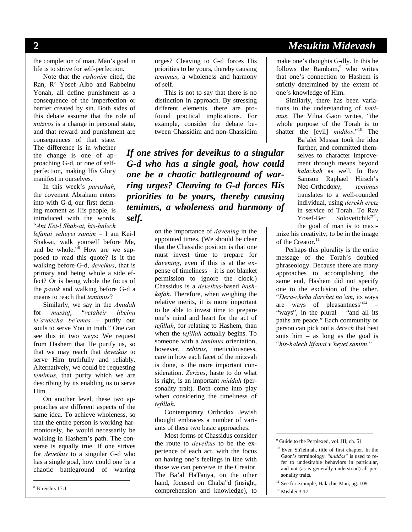# **2** *Mesukim Midevash*

the completion of man. Man's goal in life is to strive for self-perfection.

Note that the *rishonim* cited, the Ran, R' Yosef Albo and Rabbeinu Yonah, all define punishment as a consequence of the imperfection or barrier created by sin. Both sides of this debate assume that the role of *mitzvos* is a change in personal state, and that reward and punishment are

consequences of that state. The difference is in whether the change is one of approaching G-d, or one of selfperfection, making His Glory manifest in ourselves.

In this week's *parashah*, the covenent Abraham enters into with G-d, our first defining moment as His people, is introduced with the words, "*Ani Kei-l Shak-ai, his-halech* 

*lefanai veheyei samim* – I am Kei-l Shak-ai, walk yourself before Me, and be whole."<sup>8</sup> How are we supposed to read this quote? Is it the walking before G-d, *deveikus*, that is primary and being whole a side effect? Or is being whole the focus of the *pasuk* and walking before G-d a means to reach that *temimus*?

Similarly, we say in the *Amidah* for *mussaf*, "*vetaheir libeinu le'avdecha be'emes* – purify our souls to serve You in truth." One can see this in two ways: We request from Hashem that He purify us, so that we may reach that *deveikus* to serve Him truthfully and reliably. Alternatively, we could be requesting *temimus*, that purity which we are describing by its enabling us to serve Him.

On another level, these two approaches are different aspects of the same idea. To achieve wholeness, so that the entire person is working harmoniously, he would necessarily be walking in Hashem's path. The converse is equally true. If one strives for *deveikus* to a singular G-d who has a single goal, how could one be a chaotic battleground of warring

8 B'reishis 17:1

l

urges? Cleaving to G-d forces His priorities to be yours, thereby causing *temimus*, a wholeness and harmony of self.

This is not to say that there is no distinction in approach. By stressing different elements, there are profound practical implications. For example, consider the debate between Chassidim and non-Chassidim

*If one strives for deveikus to a singular G-d who has a single goal, how could one be a chaotic battleground of warring urges? Cleaving to G-d forces His priorities to be yours, thereby causing temimus, a wholeness and harmony of self.* 

> on the importance of *davening* in the appointed times. (We should be clear that the Chassidic position is that one must invest time to prepare for *davening*, even if this is at the expense of timeliness – it is not blanket permission to ignore the clock.) Chassidus is a *deveikus*-based *hashkafah*. Therefore, when weighing the relative merits, it is more important to be able to invest time to prepare one's mind and heart for the act of *tefillah*, for relating to Hashem, than when the *tefillah* actually begins. To someone with a *temimus* orientation, however, *zehirus*, meticulousness, care in how each facet of the mitzvah is done, is the more important consideration. *Zerizus*, haste to do what is right, is an important *middah* (personality trait). Both come into play when considering the timeliness of *tefillah*.

Contemporary Orthodox Jewish thought embraces a number of variants of these two basic approaches.

Most forms of Chassidus consider the route to *deveikus* to be the experience of each act, with the focus on having one's feelings in line with those we can perceive in the Creator. The Ba'al HaTanya, on the other hand, focused on Chaba"d (insight, comprehension and knowledge), to

make one's thoughts G-dly. In this he follows the Rambam, $9$  who writes that one's connection to Hashem is strictly determined by the extent of one's knowledge of Him.

Similarly, there has been variations in the understanding of *temimus*. The Vilna Gaon writes, "the whole purpose of the Torah is to shatter the [evil] *middos*."10 The

Ba'alei Mussar took the idea further, and committed themselves to character improvement through means beyond *halachah* as well. In Rav Samson Raphael Hirsch's Neo-Orthodoxy, *temimus* translates to a well-rounded individual, using *derekh eretz* in service of Torah. To Rav Yosef-Ber Solovetichik<sup>zt"1</sup>, the goal of man is to maxi-

mize his creativity, to be in the image of the Creator.<sup>11</sup>

Perhaps this plurality is the entire message of the Torah's doubled phraseology. Because there are many approaches to accomplishing the same end, Hashem did not specify one to the exclusion of the other. "*Dera-cheha darchei no'am*, its ways are ways of pleasantness"12 – "ways", in the plural – "and all its paths are peace." Each community or person can pick out a *derech* that best suits him  $-$  as long as the goal is "*his-halech lifanai v'heyei samim*."

<sup>9</sup> Guide to the Perplexed, vol. III, ch. 51

 $\overline{a}$ 

<sup>10</sup> Even Sh'leimah, title of first chapter. In the Gaon's terminology, "*middos*" is used to refer to undesirable behaviors in particular, and not (as is generally understood) all personality traits.

<sup>&</sup>lt;sup>11</sup> See for example, Halachic Man, pg. 109

<sup>&</sup>lt;sup>12</sup> Mishlei 3:17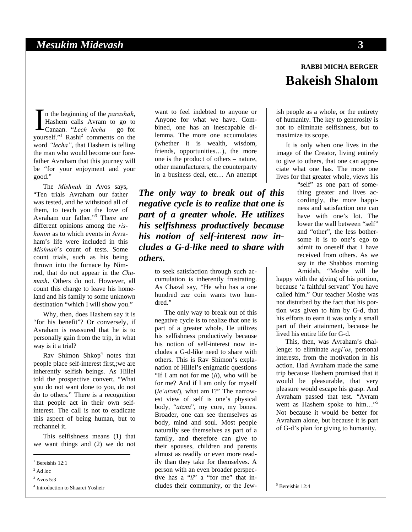n the beginning of the *parashah*, Hashem calls Avram to go to In the beginning of the *parashah*,<br>Hashem calls Avram to go to<br>Canaan. "*Lech lecha* – go for yourself."<sup>1</sup> Rashi<sup>2</sup> comments on the word *"lecha"*, that Hashem is telling the man who would become our forefather Avraham that this journey will be "for your enjoyment and your good."

The *Mishnah* in Avos says, "Ten trials Avraham our father was tested, and he withstood all of them, to teach you the love of Avraham our father."3 There are different opinions among the *rishonim* as to which events in Avraham's life were included in this *Mishnah*'s count of tests. Some count trials, such as his being thrown into the furnace by Nimrod, that do not appear in the *Chumash*. Others do not. However, all count this charge to leave his homeland and his family to some unknown destination "which I will show you."

Why, then, does Hashem say it is "for his benefit"? Or conversely, if Avraham is reassured that he is to personally gain from the trip, in what way is it a trial?

Rav Shimon Shkop<sup>4</sup> notes that people place self-interest first,;we are inherently selfish beings. As Hillel told the prospective convert, "What you do not want done to you, do not do to others." There is a recognition that people act in their own selfinterest. The call is not to eradicate this aspect of being human, but to rechannel it.

This selfishness means (1) that we want things and (2) we do not

l

want to feel indebted to anyone or Anyone for what we have. Combined, one has an inescapable dilemma. The more one accumulates (whether it is wealth, wisdom, friends, opportunities…), the more one is the product of others – nature, other manufacturers, the counterparty in a business deal, etc… An attempt

*The only way to break out of this negative cycle is to realize that one is part of a greater whole. He utilizes his selfishness productively because his notion of self-interest now includes a G-d-like need to share with others.* 

> to seek satisfaction through such accumulation is inherently frustrating. As Chazal say, "He who has a one hundred *zuz* coin wants two hundred."

> The only way to break out of this negative cycle is to realize that one is part of a greater whole. He utilizes his selfishness productively because his notion of self-interest now includes a G-d-like need to share with others. This is Rav Shimon's explanation of Hillel's enigmatic questions "If I am not for me (*li*), who will be for me? And if I am only for myself (*le'atzmi*), what am I?" The narrowest view of self is one's physical body, "*atzmi*", my core, my bones. Broader, one can see themselves as body, mind and soul. Most people naturally see themselves as part of a family, and therefore can give to their spouses, children and parents almost as readily or even more readily than they take for themselves. A person with an even broader perspective has a "*li*" a "for me" that includes their community, or the Jew-

# **RABBI MICHA BERGER Bakeish Shalom**

ish people as a whole, or the entirety of humanity. The key to generosity is not to eliminate selfishness, but to maximize its scope.

It is only when one lives in the image of the Creator, living entirely to give to others, that one can appreciate what one has. The more one lives for that greater whole, views his

"self" as one part of something greater and lives accordingly, the more happiness and satisfaction one can have with one's lot. The lower the wall between "self" and "other", the less bothersome it is to one's ego to admit to oneself that I have received from others. As we say in the Shabbos morning Amidah, "Moshe will be

happy with the giving of his portion, because 'a faithful servant' You have called him." Our teacher Moshe was not disturbed by the fact that his portion was given to him by G-d, that his efforts to earn it was only a small part of their attainment, because he lived his entire life for G-d.

This, then, was Avraham's challenge: to eliminate *negi'os*, personal interests, from the motivation in his action. Had Avraham made the same trip because Hashem promised that it would be pleasurable, that very pleasure would escape his grasp. And Avraham passed that test. "Avram went as Hashem spoke to him..." Not because it would be better for Avraham alone, but because it is part of G-d's plan for giving to humanity.

5 Bereishis 12:4

 $\overline{a}$ 

<sup>&</sup>lt;sup>1</sup> Bereishis 12:1

 $2$  Ad loc

<sup>3</sup> Avos 5:3

<sup>4</sup> Introduction to Shaarei Yosheir